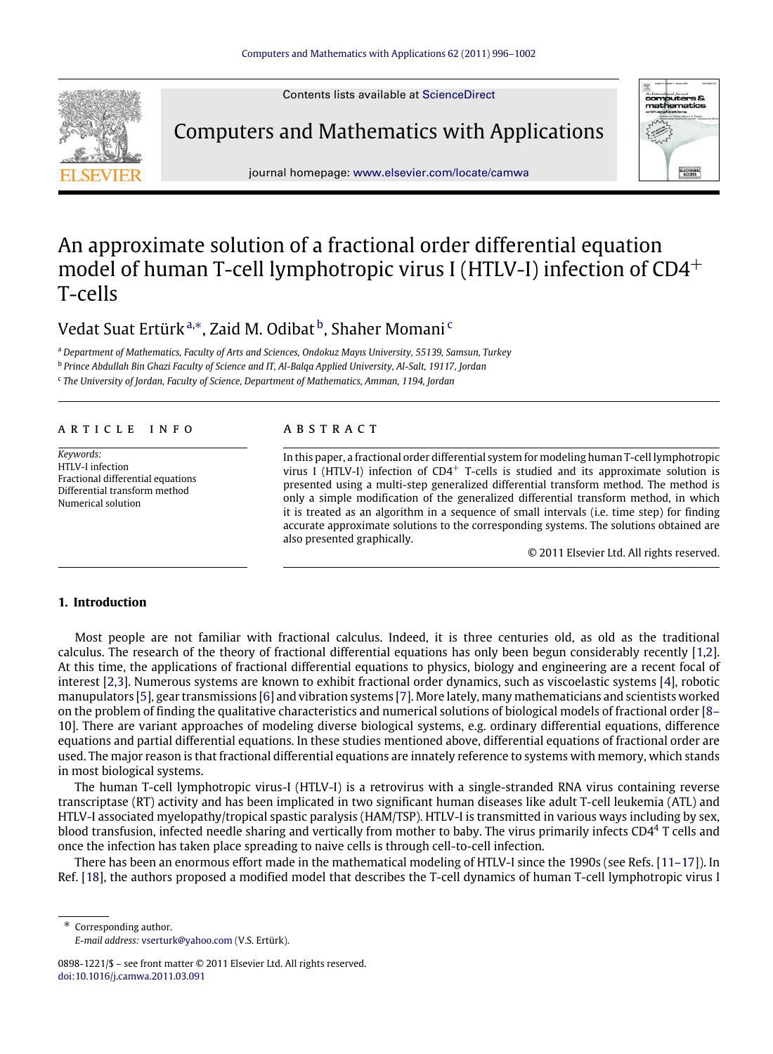Contents lists available at [ScienceDirect](http://www.elsevier.com/locate/camwa)



Computers and Mathematics with Applications



journal homepage: [www.elsevier.com/locate/camwa](http://www.elsevier.com/locate/camwa)

# An approximate solution of a fractional order differential equation model of human T-cell lymphotropic virus I (HTLV-I) infection of CD4<sup>+</sup> T-cells

## Vedat Suat Ertürk<sup>[a,](#page-0-0)[∗](#page-0-1)</sup>, Zaid M. Odi[b](#page-0-2)at <sup>b</sup>, Shaher Momani <sup>[c](#page-0-3)</sup>

<span id="page-0-0"></span><sup>a</sup> *Department of Mathematics, Faculty of Arts and Sciences, Ondokuz Mayıs University, 55139, Samsun, Turkey*

<span id="page-0-2"></span>b *Prince Abdullah Bin Ghazi Faculty of Science and IT, Al-Balqa Applied University, Al-Salt, 19117, Jordan*

<span id="page-0-3"></span>c *The University of Jordan, Faculty of Science, Department of Mathematics, Amman, 1194, Jordan*

#### a r t i c l e i n f o

*Keywords:* HTLV-I infection Fractional differential equations Differential transform method Numerical solution

### a b s t r a c t

In this paper, a fractional order differential system for modeling human T-cell lymphotropic virus I (HTLV-I) infection of  $CD4^+$  T-cells is studied and its approximate solution is presented using a multi-step generalized differential transform method. The method is only a simple modification of the generalized differential transform method, in which it is treated as an algorithm in a sequence of small intervals (i.e. time step) for finding accurate approximate solutions to the corresponding systems. The solutions obtained are also presented graphically.

© 2011 Elsevier Ltd. All rights reserved.

## **1. Introduction**

Most people are not familiar with fractional calculus. Indeed, it is three centuries old, as old as the traditional calculus. The research of the theory of fractional differential equations has only been begun considerably recently [\[1](#page-6-0)[,2\]](#page-6-1). At this time, the applications of fractional differential equations to physics, biology and engineering are a recent focal of interest [\[2,](#page-6-1)[3\]](#page-6-2). Numerous systems are known to exhibit fractional order dynamics, such as viscoelastic systems [\[4\]](#page-6-3), robotic manupulators [\[5\]](#page-6-4), gear transmissions [\[6\]](#page-6-5) and vibration systems [\[7\]](#page-6-6). More lately, many mathematicians and scientists worked [o](#page-6-7)n the problem of finding the qualitative characteristics and numerical solutions of biological models of fractional order [\[8–](#page-6-7) [10\]](#page-6-7). There are variant approaches of modeling diverse biological systems, e.g. ordinary differential equations, difference equations and partial differential equations. In these studies mentioned above, differential equations of fractional order are used. The major reason is that fractional differential equations are innately reference to systems with memory, which stands in most biological systems.

The human T-cell lymphotropic virus-I (HTLV-I) is a retrovirus with a single-stranded RNA virus containing reverse transcriptase (RT) activity and has been implicated in two significant human diseases like adult T-cell leukemia (ATL) and HTLV-I associated myelopathy/tropical spastic paralysis (HAM/TSP). HTLV-I is transmitted in various ways including by sex, blood transfusion, infected needle sharing and vertically from mother to baby. The virus primarily infects CD4<sup>4</sup> T cells and once the infection has taken place spreading to naive cells is through cell-to-cell infection.

There has been an enormous effort made in the mathematical modeling of HTLV-I since the 1990s (see Refs. [\[11–17\]](#page-6-8)). In Ref. [\[18\]](#page-6-9), the authors proposed a modified model that describes the T-cell dynamics of human T-cell lymphotropic virus I

<span id="page-0-1"></span>Corresponding author. *E-mail address:* [vserturk@yahoo.com](mailto:vserturk@yahoo.com) (V.S. Ertürk).

<sup>0898-1221/\$ –</sup> see front matter © 2011 Elsevier Ltd. All rights reserved. [doi:10.1016/j.camwa.2011.03.091](http://dx.doi.org/10.1016/j.camwa.2011.03.091)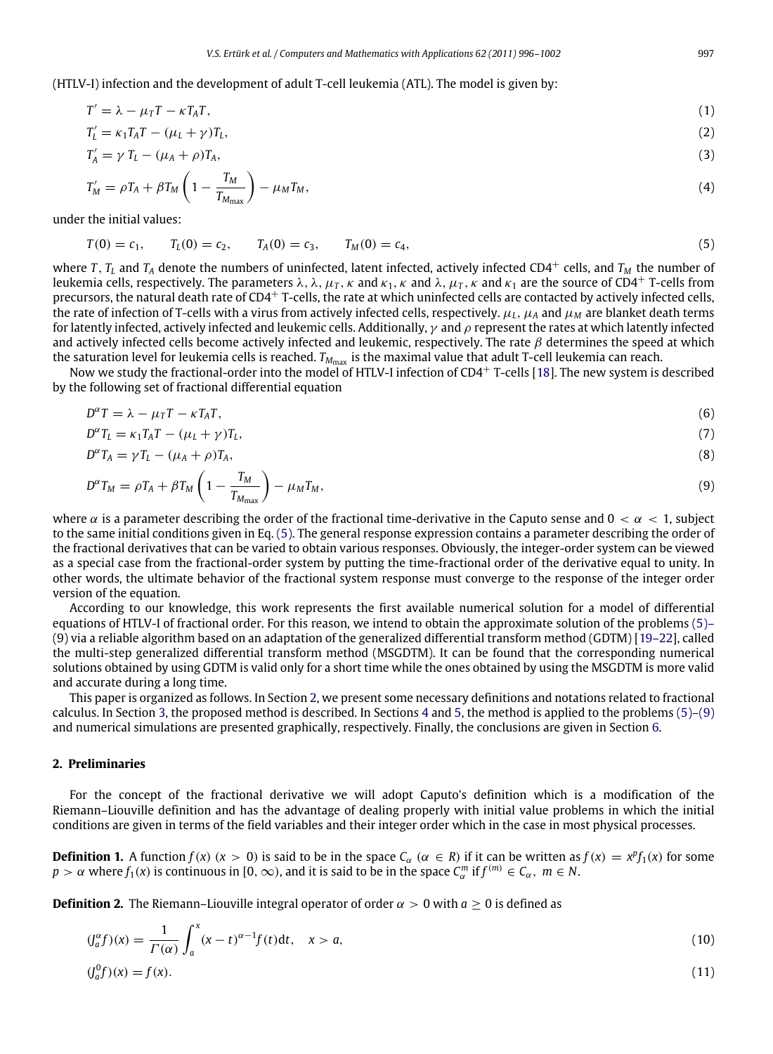(HTLV-I) infection and the development of adult T-cell leukemia (ATL). The model is given by:

$$
T' = \lambda - \mu_T T - \kappa T_A T,\tag{1}
$$

$$
T'_{L} = \kappa_1 T_A T - (\mu_L + \gamma) T_L, \tag{2}
$$

$$
T_A' = \gamma T_L - (\mu_A + \rho) T_A,\tag{3}
$$

$$
T'_{M} = \rho T_{A} + \beta T_{M} \left( 1 - \frac{T_{M}}{T_{M_{\text{max}}}} \right) - \mu_{M} T_{M}, \qquad (4)
$$

under the initial values:

<span id="page-1-0"></span>
$$
T(0) = c_1, \qquad T_L(0) = c_2, \qquad T_A(0) = c_3, \qquad T_M(0) = c_4,\tag{5}
$$

where *T*, *T*<sub>*L*</sub> and *T*<sub>*A*</sub> denote the numbers of uninfected, latent infected, actively infected CD4<sup>+</sup> cells, and *T*<sub>*M*</sub> the number of leukemia cells, respectively. The parameters  $\lambda$ ,  $\lambda$ ,  $\mu$ <sub>*T*</sub>,  $\kappa$  and  $\kappa$ <sub>1</sub>,  $\kappa$  and  $\lambda$ ,  $\mu$ <sub>*T*</sub>,  $\kappa$  and  $\kappa$ <sub>1</sub> are the source of CD4<sup>+</sup> T-cells from precursors, the natural death rate of  $CD4^+$  T-cells, the rate at which uninfected cells are contacted by actively infected cells, the rate of infection of T-cells with a virus from actively infected cells, respectively.  $\mu_L$ ,  $\mu_A$  and  $\mu_M$  are blanket death terms for latently infected, actively infected and leukemic cells. Additionally,  $\gamma$  and  $\rho$  represent the rates at which latently infected and actively infected cells become actively infected and leukemic, respectively. The rate  $\beta$  determines the speed at which the saturation level for leukemia cells is reached.  $T_{M_{\text{max}}}$  is the maximal value that adult T-cell leukemia can reach.

Now we study the fractional-order into the model of HTLV-I infection of CD4<sup>+</sup> T-cells [\[18\]](#page-6-9). The new system is described by the following set of fractional differential equation

<span id="page-1-2"></span>
$$
D^{\alpha}T = \lambda - \mu_T T - \kappa T_A T, \tag{6}
$$

$$
D^{\alpha}T_L = \kappa_1 T_A T - (\mu_L + \gamma)T_L,\tag{7}
$$

$$
D^{\alpha}T_A = \gamma T_L - (\mu_A + \rho)T_A, \tag{8}
$$

$$
D^{\alpha}T_M = \rho T_A + \beta T_M \left(1 - \frac{T_M}{T_{M_{\text{max}}}}\right) - \mu_M T_M, \tag{9}
$$

where  $\alpha$  is a parameter describing the order of the fractional time-derivative in the Caputo sense and  $0 < \alpha < 1$ , subject to the same initial conditions given in Eq. [\(5\).](#page-1-0) The general response expression contains a parameter describing the order of the fractional derivatives that can be varied to obtain various responses. Obviously, the integer-order system can be viewed as a special case from the fractional-order system by putting the time-fractional order of the derivative equal to unity. In other words, the ultimate behavior of the fractional system response must converge to the response of the integer order version of the equation.

According to our knowledge, this work represents the first available numerical solution for a model of differential [e](#page-1-0)quations of HTLV-I of fractional order. For this reason, we intend to obtain the approximate solution of the problems [\(5\)–](#page-1-0) [\(9\)](#page-1-0) via a reliable algorithm based on an adaptation of the generalized differential transform method (GDTM) [\[19–22\]](#page-6-10), called the multi-step generalized differential transform method (MSGDTM). It can be found that the corresponding numerical solutions obtained by using GDTM is valid only for a short time while the ones obtained by using the MSGDTM is more valid and accurate during a long time.

This paper is organized as follows. In Section [2,](#page-1-1) we present some necessary definitions and notations related to fractional calculus. In Section [3,](#page-2-0) the proposed method is described. In Sections [4](#page-3-0) and [5,](#page-4-0) the method is applied to the problems [\(5\)–\(9\)](#page-1-0) and numerical simulations are presented graphically, respectively. Finally, the conclusions are given in Section [6.](#page-6-11)

## <span id="page-1-1"></span>**2. Preliminaries**

For the concept of the fractional derivative we will adopt Caputo's definition which is a modification of the Riemann–Liouville definition and has the advantage of dealing properly with initial value problems in which the initial conditions are given in terms of the field variables and their integer order which in the case in most physical processes.

**Definition 1.** A function  $f(x)$   $(x > 0)$  is said to be in the space  $C_\alpha$   $(\alpha \in R)$  if it can be written as  $f(x) = x^p f_1(x)$  for some  $p > \alpha$  where  $f_1(x)$  is continuous in [0,  $\infty$ ), and it is said to be in the space  $C_\alpha^m$  if  $f^{(m)} \in C_\alpha$ ,  $m \in N$ .

**Definition 2.** The Riemann–Liouville integral operator of order  $\alpha > 0$  with  $a \ge 0$  is defined as

$$
(\int_{a}^{\alpha}f)(x) = \frac{1}{\Gamma(\alpha)} \int_{a}^{x} (x-t)^{\alpha-1} f(t)dt, \quad x > a,
$$
\n(10)

$$
\left(\int_a^0 f\right)(x) = f(x). \tag{11}
$$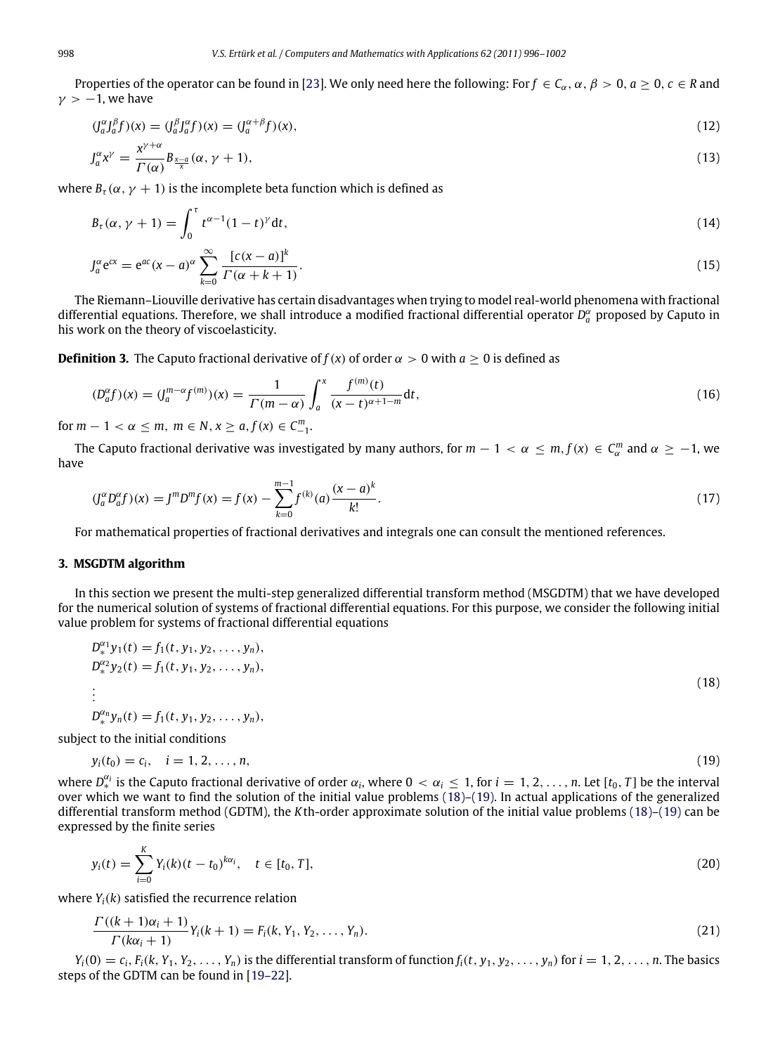Properties of the operator can be found in [\[23\]](#page-6-12). We only need here the following: For  $f \in C_\alpha$ ,  $\alpha$ ,  $\beta > 0$ ,  $a \ge 0$ ,  $c \in R$  and  $y > -1$ , we have

$$
(\int_{a}^{\alpha} \int_{a}^{\beta} f(x)) = (\int_{a}^{\beta} \int_{a}^{\alpha} f(x)) = (\int_{a}^{\alpha+\beta} f(x))
$$
\n(12)

$$
J_a^{\alpha}x^{\gamma} = \frac{x^{\gamma + \alpha}}{\Gamma(\alpha)} B_{\frac{x - a}{x}}(\alpha, \gamma + 1),\tag{13}
$$

where  $B_{\tau}(\alpha, \gamma + 1)$  is the incomplete beta function which is defined as

$$
B_{\tau}(\alpha, \gamma + 1) = \int_0^{\tau} t^{\alpha - 1} (1 - t)^{\gamma} dt,
$$
\n(14)

$$
J_a^{\alpha} e^{cx} = e^{ac} (x - a)^{\alpha} \sum_{k=0}^{\infty} \frac{[c(x - a)]^k}{\Gamma(\alpha + k + 1)}.
$$
\n(15)

The Riemann–Liouville derivative has certain disadvantages when trying to model real-world phenomena with fractional differential equations. Therefore, we shall introduce a modified fractional differential operator  $D_a^{\alpha}$  proposed by Caputo in his work on the theory of viscoelasticity.

**Definition 3.** The Caputo fractional derivative of  $f(x)$  of order  $\alpha > 0$  with  $a > 0$  is defined as

$$
(D_a^{\alpha}f)(x) = (J_a^{m-\alpha}f^{(m)})(x) = \frac{1}{\Gamma(m-\alpha)} \int_a^x \frac{f^{(m)}(t)}{(x-t)^{\alpha+1-m}} dt,
$$
\n(16)

for  $m - 1 < \alpha \le m$ ,  $m \in N$ ,  $x \ge a$ ,  $f(x) \in C_{-1}^m$ .

The Caputo fractional derivative was investigated by many authors, for  $m-1 < \alpha \le m, f(x) \in C_\alpha^m$  and  $\alpha \ge -1$ , we have

$$
(\int_{a}^{\alpha} D_{a}^{\alpha} f)(x) = J^{m} D^{m} f(x) = f(x) - \sum_{k=0}^{m-1} f^{(k)}(a) \frac{(x-a)^{k}}{k!}.
$$
\n(17)

For mathematical properties of fractional derivatives and integrals one can consult the mentioned references.

#### <span id="page-2-0"></span>**3. MSGDTM algorithm**

In this section we present the multi-step generalized differential transform method (MSGDTM) that we have developed for the numerical solution of systems of fractional differential equations. For this purpose, we consider the following initial value problem for systems of fractional differential equations

$$
D_*^{\alpha_1} y_1(t) = f_1(t, y_1, y_2, \dots, y_n),
$$
  
\n
$$
D_*^{\alpha_2} y_2(t) = f_1(t, y_1, y_2, \dots, y_n),
$$
  
\n
$$
\vdots
$$
 (18)

 $D_*^{\alpha_n} y_n(t) = f_1(t, y_1, y_2, \ldots, y_n),$ 

subject to the initial conditions

$$
y_i(t_0) = c_i, \quad i = 1, 2, \dots, n,
$$
\n(19)

where  $D_*^{\alpha_i}$  is the Caputo fractional derivative of order  $\alpha_i$ , where  $0<\alpha_i\leq 1$ , for  $i=1,2,\ldots,n$ . Let  $[t_0,T]$  be the interval over which we want to find the solution of the initial value problems [\(18\)](#page-2-1)[–\(19\).](#page-2-2) In actual applications of the generalized differential transform method (GDTM), the *K*th-order approximate solution of the initial value problems [\(18\)](#page-2-1)[–\(19\)](#page-2-2) can be expressed by the finite series

$$
y_i(t) = \sum_{i=0}^{K} Y_i(k)(t - t_0)^{k\alpha_i}, \quad t \in [t_0, T],
$$
\n(20)

where  $Y_i(k)$  satisfied the recurrence relation

$$
\frac{\Gamma((k+1)\alpha_i+1)}{\Gamma(k\alpha_i+1)}Y_i(k+1) = F_i(k, Y_1, Y_2, \dots, Y_n).
$$
\n(21)

 $Y_i(0) = c_i, F_i(k, Y_1, Y_2, \dots, Y_n)$  is the differential transform of function  $f_i(t, y_1, y_2, \dots, y_n)$  for  $i = 1, 2, \dots, n$ . The basics steps of the GDTM can be found in [\[19–22\]](#page-6-10).

<span id="page-2-2"></span><span id="page-2-1"></span>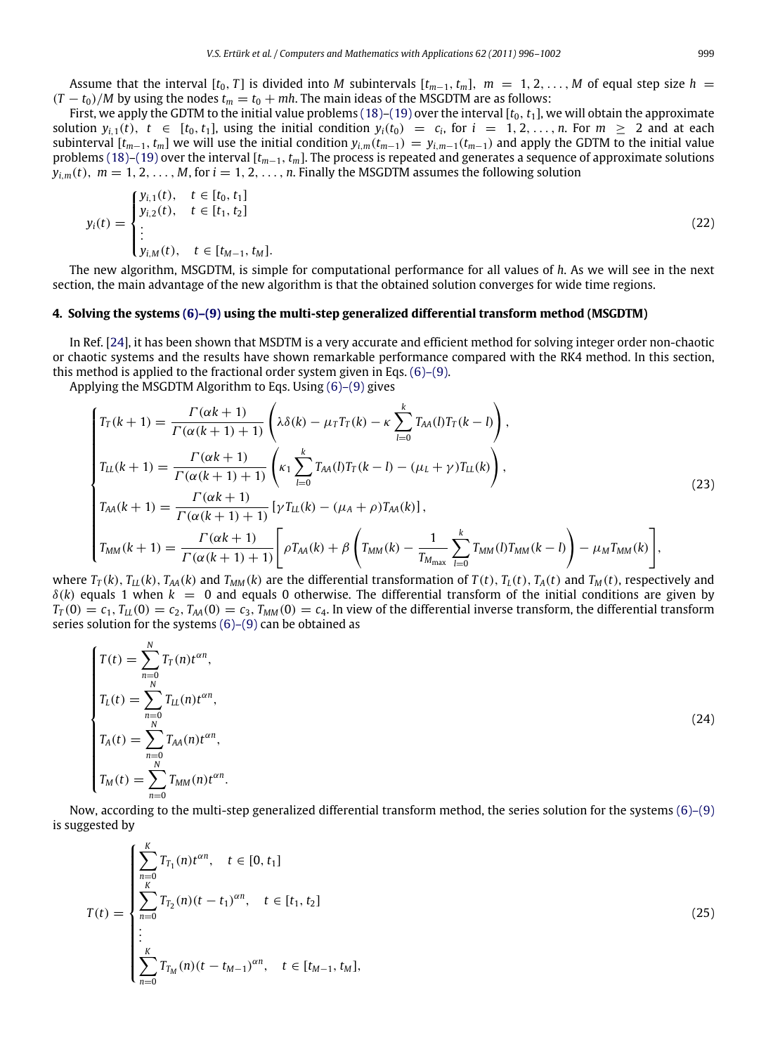First, we apply the GDTM to the initial value problems  $(18)$ – $(19)$  over the interval  $[t_0, t_1]$ , we will obtain the approximate solution  $y_{i,1}(t)$ ,  $t \in [t_0, t_1]$ , using the initial condition  $y_i(t_0) = c_i$ , for  $i = 1, 2, ..., n$ . For  $m \ge 2$  and at each subinterval  $[t_{m-1}, t_m]$  we will use the initial condition  $y_{i,m}(t_{m-1}) = y_{i,m-1}(t_{m-1})$  and apply the GDTM to the initial value problems [\(18\)–](#page-2-1)[\(19\)](#page-2-2) over the interval [*tm*−1, *tm*]. The process is repeated and generates a sequence of approximate solutions  $v_{i,m}(t)$ ,  $m = 1, 2, \ldots, M$ , for  $i = 1, 2, \ldots, n$ . Finally the MSGDTM assumes the following solution

$$
y_i(t) = \begin{cases} y_{i,1}(t), & t \in [t_0, t_1] \\ y_{i,2}(t), & t \in [t_1, t_2] \\ \vdots \\ y_{i,M}(t), & t \in [t_{M-1}, t_M]. \end{cases}
$$
(22)

The new algorithm, MSGDTM, is simple for computational performance for all values of *h*. As we will see in the next section, the main advantage of the new algorithm is that the obtained solution converges for wide time regions.

## <span id="page-3-0"></span>**4. Solving the systems [\(6\)–\(9\)](#page-1-2) using the multi-step generalized differential transform method (MSGDTM)**

In Ref. [\[24\]](#page-6-13), it has been shown that MSDTM is a very accurate and efficient method for solving integer order non-chaotic or chaotic systems and the results have shown remarkable performance compared with the RK4 method. In this section, this method is applied to the fractional order system given in Eqs. [\(6\)–\(9\).](#page-1-2)

Applying the MSGDTM Algorithm to Eqs. Using [\(6\)–\(9\)](#page-1-2) gives

$$
\begin{cases}\nT_T(k+1) = \frac{\Gamma(\alpha k+1)}{\Gamma(\alpha(k+1)+1)} \left( \lambda \delta(k) - \mu_T T_T(k) - \kappa \sum_{l=0}^k T_{AA}(l) T_T(k-l) \right), \\
T_{LL}(k+1) = \frac{\Gamma(\alpha k+1)}{\Gamma(\alpha(k+1)+1)} \left( \kappa_1 \sum_{l=0}^k T_{AA}(l) T_T(k-l) - (\mu_L + \gamma) T_{LL}(k) \right), \\
T_{AA}(k+1) = \frac{\Gamma(\alpha k+1)}{\Gamma(\alpha(k+1)+1)} \left[ \gamma T_{LL}(k) - (\mu_A + \rho) T_{AA}(k) \right], \\
T_{MM}(k+1) = \frac{\Gamma(\alpha k+1)}{\Gamma(\alpha(k+1)+1)} \left[ \rho T_{AA}(k) + \beta \left( T_{MM}(k) - \frac{1}{T_{M_{max}}} \sum_{l=0}^k T_{MM}(l) T_{MM}(k-l) \right) - \mu_M T_{MM}(k) \right],\n\end{cases}
$$
\n(23)

where  $T_T(k)$ ,  $T_{LL}(k)$ ,  $T_{AA}(k)$  and  $T_{MM}(k)$  are the differential transformation of  $T(t)$ ,  $T_L(t)$ ,  $T_A(t)$  and  $T_M(t)$ , respectively and  $\delta(k)$  equals 1 when  $k = 0$  and equals 0 otherwise. The differential transform of the initial conditions are given by  $T_T(0) = c_1, T_{LL}(0) = c_2, T_{AA}(0) = c_3, T_{MM}(0) = c_4$ . In view of the differential inverse transform, the differential transform series solution for the systems  $(6)-(9)$  can be obtained as

$$
T(t) = \sum_{n=0}^{N} T_T(n) t^{\alpha n},
$$
  
\n
$$
T_L(t) = \sum_{n=0}^{N} T_{LL}(n) t^{\alpha n},
$$
  
\n
$$
T_A(t) = \sum_{n=0}^{N} T_{AA}(n) t^{\alpha n},
$$
  
\n
$$
T_M(t) = \sum_{n=0}^{N} T_{MM}(n) t^{\alpha n}.
$$
  
\n(24)

Now, according to the multi-step generalized differential transform method, the series solution for the systems [\(6\)–\(9\)](#page-1-2) is suggested by

<span id="page-3-1"></span>
$$
T(t) = \begin{cases} \sum_{n=0}^{K} T_{T_1}(n) t^{\alpha n}, & t \in [0, t_1] \\ \sum_{n=0}^{K} T_{T_2}(n) (t - t_1)^{\alpha n}, & t \in [t_1, t_2] \\ \vdots \\ \sum_{n=0}^{K} T_{T_M}(n) (t - t_{M-1})^{\alpha n}, & t \in [t_{M-1}, t_M], \end{cases}
$$
(25)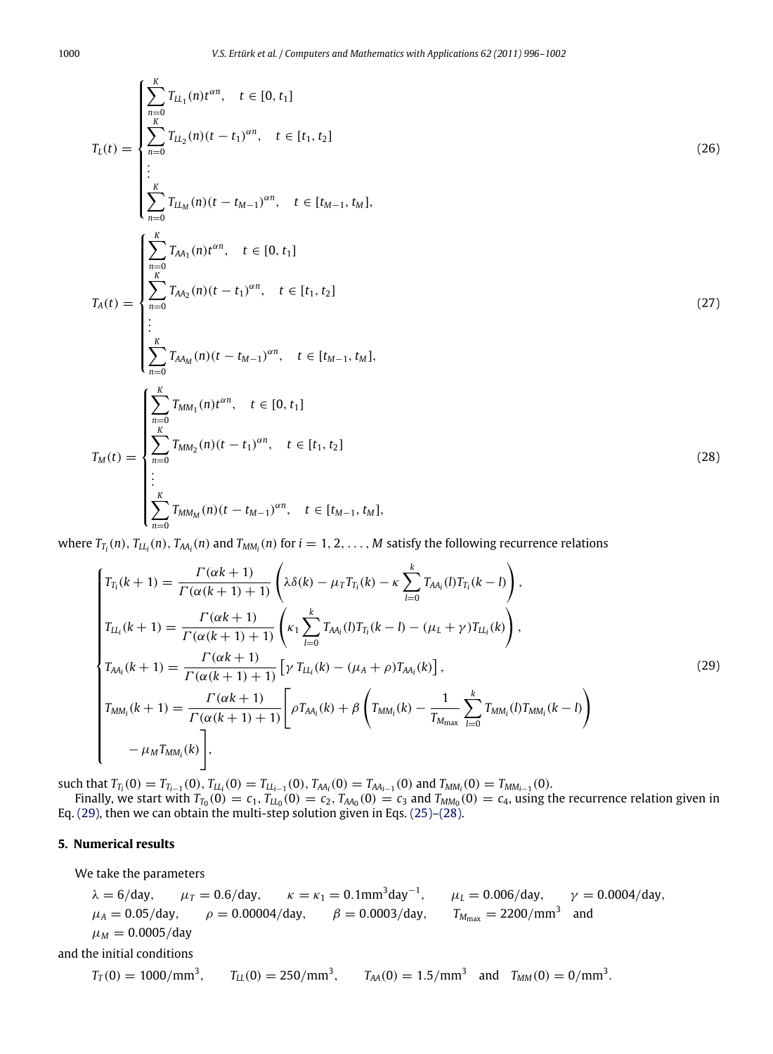$$
T_{L}(t) = \begin{cases} \sum_{n=0}^{K} T_{LL_{1}}(n)t^{\alpha n}, & t \in [0, t_{1}] \\ \sum_{n=0}^{K} T_{LL_{2}}(n)(t - t_{1})^{\alpha n}, & t \in [t_{1}, t_{2}] \\ \vdots \\ \sum_{n=0}^{K} T_{LL_{M}}(n)(t - t_{M-1})^{\alpha n}, & t \in [t_{M-1}, t_{M}], \\ \sum_{n=0}^{K} T_{M_{1}}(n)t^{\alpha n}, & t \in [0, t_{1}] \end{cases}
$$
\n
$$
T_{A}(t) = \begin{cases} \sum_{n=0}^{K} T_{M_{2}}(n)(t - t_{1})^{\alpha n}, & t \in [t_{1}, t_{2}] \\ \sum_{n=0}^{K} T_{M_{M}}(n)(t - t_{M-1})^{\alpha n}, & t \in [t_{M-1}, t_{M}], \\ \sum_{n=0}^{K} T_{M_{M}}(n)t^{\alpha n}, & t \in [0, t_{1}] \end{cases}
$$
\n
$$
T_{M}(t) = \begin{cases} \sum_{n=0}^{K} T_{MM_{1}}(n)t^{\alpha n}, & t \in [0, t_{1}] \\ \sum_{n=0}^{K} T_{MM_{2}}(n)(t - t_{1})^{\alpha n}, & t \in [t_{1}, t_{2}] \\ \vdots \\ \sum_{n=0}^{K} T_{MM_{M}}(n)(t - t_{M-1})^{\alpha n}, & t \in [t_{M-1}, t_{M}], \\ \sum_{n=0}^{K} T_{MM_{M}}(n)(t - t_{M-1})^{\alpha n}, & t \in [t_{M-1}, t_{M}], \end{cases}
$$
\n(28)

where  $T_{T_i}(n)$ ,  $T_{LL_i}(n)$ ,  $T_{AA_i}(n)$  and  $T_{MM_i}(n)$  for  $i = 1, 2, ..., M$  satisfy the following recurrence relations

<span id="page-4-1"></span>
$$
\begin{cases}\nT_{T_i}(k+1) = \frac{\Gamma(\alpha k+1)}{\Gamma(\alpha (k+1)+1)} \left(\lambda \delta(k) - \mu_T T_{T_i}(k) - \kappa \sum_{l=0}^k T_{A A_i}(l) T_{T_i}(k-l)\right), \\
T_{L L_i}(k+1) = \frac{\Gamma(\alpha k+1)}{\Gamma(\alpha (k+1)+1)} \left(\kappa_1 \sum_{l=0}^k T_{A A_i}(l) T_{T_i}(k-l) - (\mu_L + \gamma) T_{L L_i}(k)\right), \\
T_{A A_i}(k+1) = \frac{\Gamma(\alpha k+1)}{\Gamma(\alpha (k+1)+1)} \left[\gamma T_{L L_i}(k) - (\mu_A + \rho) T_{A A_i}(k)\right], \\
T_{M M_i}(k+1) = \frac{\Gamma(\alpha k+1)}{\Gamma(\alpha (k+1)+1)} \left[\rho T_{A A_i}(k) + \beta \left(T_{M M_i}(k) - \frac{1}{T_{M_{\text{max}}}} \sum_{l=0}^k T_{M M_i}(l) T_{M M_i}(k-l)\right) - \mu_M T_{M M_i}(k)\right],\n\end{cases}\n\tag{29}
$$

such that  $T_{T_i}(0) = T_{T_{i-1}}(0)$ ,  $T_{LL_i}(0) = T_{LL_{i-1}}(0)$ ,  $T_{AA_i}(0) = T_{AA_{i-1}}(0)$  and  $T_{MM_i}(0) = T_{MM_{i-1}}(0)$ .

Finally, we start with  $T_{T_0}(0) = c_1$ ,  $T_{L L_0}(0) = c_2$ ,  $T_{A A_0}(0) = c_3$  and  $T_{M M_0}(0) = c_4$ , using the recurrence relation given in Eq. [\(29\),](#page-4-1) then we can obtain the multi-step solution given in Eqs. [\(25\)–\(28\).](#page-3-1)

## <span id="page-4-0"></span>**5. Numerical results**

We take the parameters

$$
\lambda = 6/\text{day}, \quad \mu_T = 0.6/\text{day}, \quad \kappa = \kappa_1 = 0.1 \text{mm}^3 \text{day}^{-1}, \quad \mu_L = 0.006/\text{day}, \quad \gamma = 0.0004/\text{day}, \quad \mu_A = 0.05/\text{day}, \quad \rho = 0.00004/\text{day}, \quad \beta = 0.0003/\text{day}, \quad T_{M_{\text{max}}} = 2200/\text{mm}^3 \text{ and } \mu_M = 0.0005/\text{day}
$$

and the initial conditions

$$
T_T(0) = 1000/mm^3
$$
,  $T_{LL}(0) = 250/mm^3$ ,  $T_{AA}(0) = 1.5/mm^3$  and  $T_{MM}(0) = 0/mm^3$ .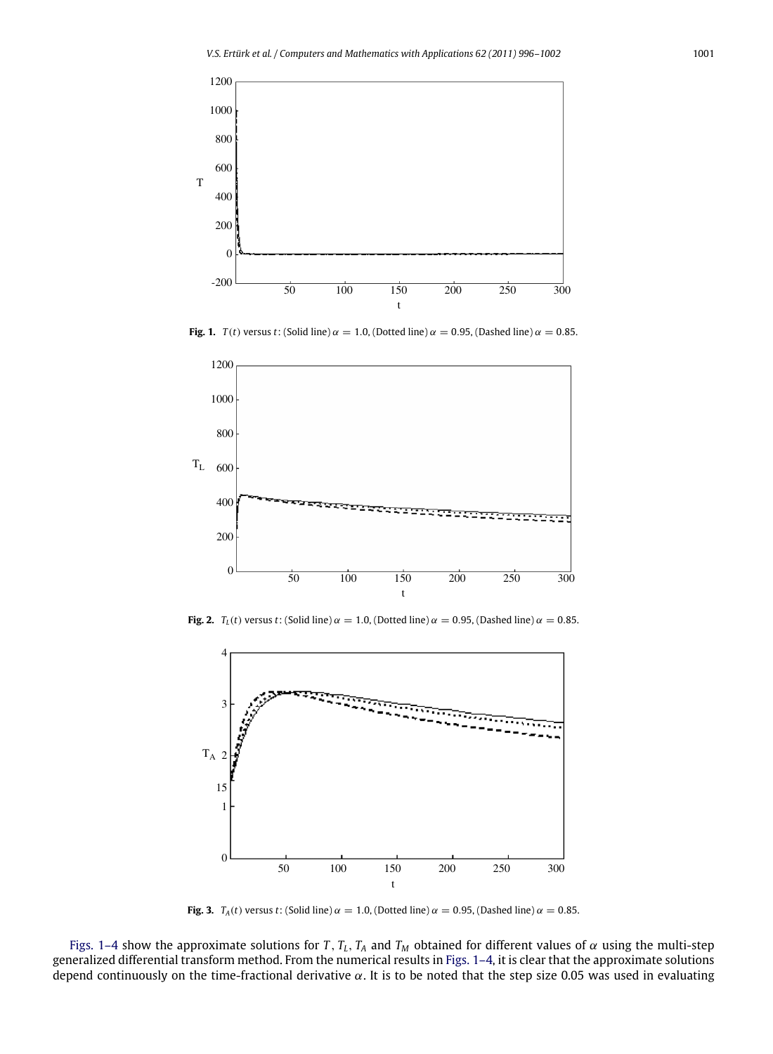<span id="page-5-0"></span>

**Fig. 1.**  $T(t)$  versus *t*: (Solid line)  $\alpha = 1.0$ , (Dotted line)  $\alpha = 0.95$ , (Dashed line)  $\alpha = 0.85$ .



**Fig. 2.**  $T_L(t)$  versus *t*: (Solid line)  $\alpha = 1.0$ , (Dotted line)  $\alpha = 0.95$ , (Dashed line)  $\alpha = 0.85$ .



**Fig. 3.**  $T_A(t)$  versus *t*: (Solid line)  $\alpha = 1.0$ , (Dotted line)  $\alpha = 0.95$ , (Dashed line)  $\alpha = 0.85$ .

[Figs. 1–4](#page-5-0) show the approximate solutions for *T*,  $T_L$ ,  $T_A$  and  $T_M$  obtained for different values of  $\alpha$  using the multi-step generalized differential transform method. From the numerical results in [Figs. 1–4,](#page-5-0) it is clear that the approximate solutions depend continuously on the time-fractional derivative  $\alpha$ . It is to be noted that the step size 0.05 was used in evaluating